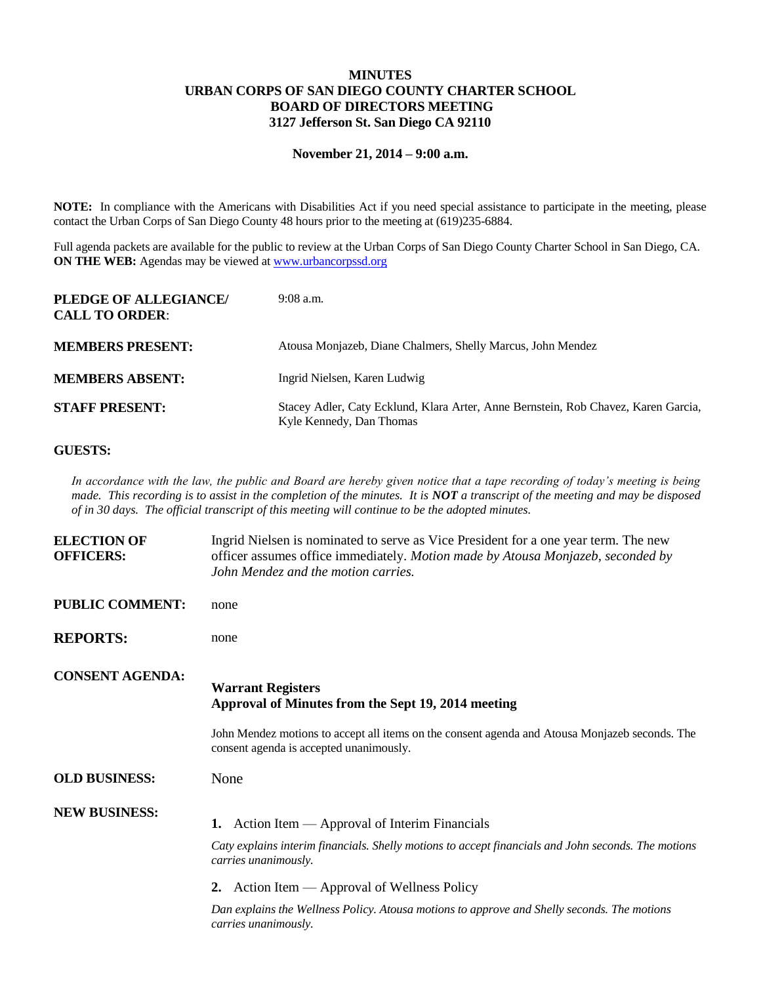## **MINUTES URBAN CORPS OF SAN DIEGO COUNTY CHARTER SCHOOL BOARD OF DIRECTORS MEETING 3127 Jefferson St. San Diego CA 92110**

## **November 21, 2014 – 9:00 a.m.**

**NOTE:** In compliance with the Americans with Disabilities Act if you need special assistance to participate in the meeting, please contact the Urban Corps of San Diego County 48 hours prior to the meeting at (619)235-6884.

Full agenda packets are available for the public to review at the Urban Corps of San Diego County Charter School in San Diego, CA. **ON THE WEB:** Agendas may be viewed at [www.urbancorpssd.org](http://www.urbancorpssd.org/)

| PLEDGE OF ALLEGIANCE/<br><b>CALL TO ORDER:</b> | $9:08$ a.m.                                                                                                    |
|------------------------------------------------|----------------------------------------------------------------------------------------------------------------|
| <b>MEMBERS PRESENT:</b>                        | Atousa Monjazeb, Diane Chalmers, Shelly Marcus, John Mendez                                                    |
| <b>MEMBERS ABSENT:</b>                         | Ingrid Nielsen, Karen Ludwig                                                                                   |
| <b>STAFF PRESENT:</b>                          | Stacey Adler, Caty Ecklund, Klara Arter, Anne Bernstein, Rob Chavez, Karen Garcia,<br>Kyle Kennedy, Dan Thomas |

## **GUESTS:**

*In accordance with the law, the public and Board are hereby given notice that a tape recording of today's meeting is being made. This recording is to assist in the completion of the minutes. It is NOT a transcript of the meeting and may be disposed of in 30 days. The official transcript of this meeting will continue to be the adopted minutes.*

| <b>ELECTION OF</b><br><b>OFFICERS:</b> | Ingrid Nielsen is nominated to serve as Vice President for a one year term. The new<br>officer assumes office immediately. Motion made by Atousa Monjazeb, seconded by<br>John Mendez and the motion carries. |
|----------------------------------------|---------------------------------------------------------------------------------------------------------------------------------------------------------------------------------------------------------------|
| <b>PUBLIC COMMENT:</b>                 | none                                                                                                                                                                                                          |
| <b>REPORTS:</b>                        | none                                                                                                                                                                                                          |
| <b>CONSENT AGENDA:</b>                 | <b>Warrant Registers</b><br>Approval of Minutes from the Sept 19, 2014 meeting                                                                                                                                |
|                                        | John Mendez motions to accept all items on the consent agenda and Atousa Monjazeb seconds. The<br>consent agenda is accepted unanimously.                                                                     |
| <b>OLD BUSINESS:</b>                   | None                                                                                                                                                                                                          |
| <b>NEW BUSINESS:</b>                   | 1. Action Item — Approval of Interim Financials<br>Caty explains interim financials. Shelly motions to accept financials and John seconds. The motions<br>carries unanimously.                                |
|                                        | 2. Action Item — Approval of Wellness Policy                                                                                                                                                                  |
|                                        | Dan explains the Wellness Policy. Atousa motions to approve and Shelly seconds. The motions<br>carries unanimously.                                                                                           |